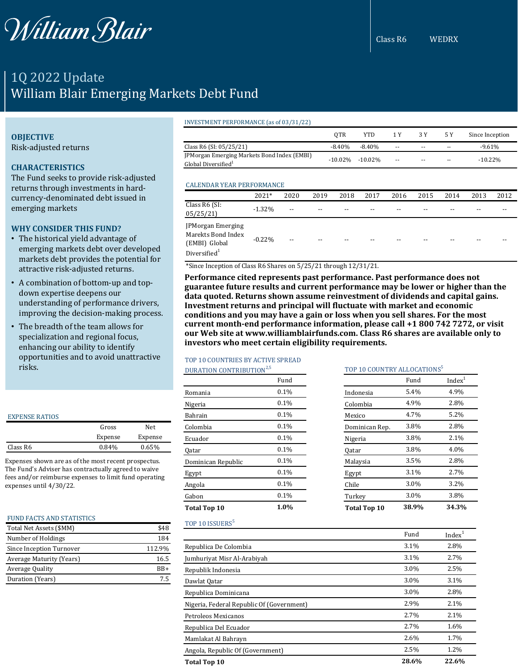

Class R6 WEDRX

# 1Q 2022 Update William Blair Emerging Markets Debt Fund

### INVESTMENT PERFORMANCE (as of 03/31/22)

|                                                                                | OTR        | <b>YTD</b> | 1 Y                      | 3 Y                      | 5 Y                      | Since Inception |
|--------------------------------------------------------------------------------|------------|------------|--------------------------|--------------------------|--------------------------|-----------------|
| Class R6 (SI: 05/25/21)                                                        | $-8.40%$   | $-8.40%$   | $\overline{\phantom{a}}$ | $\overline{\phantom{a}}$ | --                       | $-9.61\%$       |
| [PMorgan Emerging Markets Bond Index (EMBI)<br>Global Diversified <sup>1</sup> | $-10.02\%$ | $-10.02\%$ | $\overline{\phantom{a}}$ | $\overline{\phantom{a}}$ | $\overline{\phantom{m}}$ | $-10.22\%$      |
|                                                                                |            |            |                          |                          |                          |                 |

### CALENDAR YEAR PERFORMANCE

|                                                                             | 2021*     | 2020  | 2019 | 2018 | 2017 | 2016 | 2015 | 2014 | 2013 | 2012 |
|-----------------------------------------------------------------------------|-----------|-------|------|------|------|------|------|------|------|------|
| Class R6 (SI:<br>05/25/21                                                   | $-1.32%$  | $- -$ | --   | --   | --   | --   | --   | --   | --   |      |
| JPMorgan Emerging<br>Marekts Bond Index<br>(EMBI) Global<br>Diversified $1$ | $-0.22\%$ | $- -$ | --   | --   | --   | --   | --   | --   | --   |      |

\*Since Inception of Class R6 Shares on 5/25/21 through 12/31/21.

**Performance cited represents past performance. Past performance does not guarantee future results and current performance may be lower or higher than the data quoted. Returns shown assume reinvestment of dividends and capital gains. Investment returns and principal will fluctuate with market and economic conditions and you may have a gain or loss when you sell shares. For the most current month-end performance information, please call +1 800 742 7272, or visit our Web site at www.williamblairfunds.com. Class R6 shares are available only to investors who meet certain eligibility requirements.**

## TOP 10 COUNTRIES BY ACTIVE SPREAD

## DURATION CONTRIBUTION<sup>2,5</sup>

|                     | Fund |
|---------------------|------|
| Romania             | 0.1% |
| Nigeria             | 0.1% |
| Bahrain             | 0.1% |
| Colombia            | 0.1% |
| Ecuador             | 0.1% |
| Qatar               | 0.1% |
| Dominican Republic  | 0.1% |
| Egypt               | 0.1% |
| Angola              | 0.1% |
| Gabon               | 0.1% |
| <b>Total Top 10</b> | 1.0% |

| TOP 10 COUNTRY ALLOCATIONS <sup>5</sup> |       |                    |  |  |
|-----------------------------------------|-------|--------------------|--|--|
|                                         | Fund  | Index <sup>1</sup> |  |  |
| Indonesia                               | 5.4%  | 4.9%               |  |  |
| Colombia                                | 4.9%  | 2.8%               |  |  |
| Mexico                                  | 4.7%  | 5.2%               |  |  |
| Dominican Rep.                          | 3.8%  | 2.8%               |  |  |
| Nigeria                                 | 3.8%  | 2.1%               |  |  |
| Qatar                                   | 3.8%  | 4.0%               |  |  |
| Malaysia                                | 3.5%  | 2.8%               |  |  |
| Egypt                                   | 3.1%  | 2.7%               |  |  |
| Chile                                   | 3.0%  | 3.2%               |  |  |
| Turkey                                  | 3.0%  | 3.8%               |  |  |
| <b>Total Top 10</b>                     | 38.9% | 34.3%              |  |  |

### TOP 10 ISSUERS<sup>5</sup>

|                                           | Fund  | Index <sup>1</sup> |
|-------------------------------------------|-------|--------------------|
| Republica De Colombia                     | 3.1%  | 2.8%               |
| Jumhuriyat Misr Al-Arabiyah               | 3.1%  | 2.7%               |
| Republik Indonesia                        | 3.0%  | 2.5%               |
| Dawlat Qatar                              | 3.0%  | 3.1%               |
| Republica Dominicana                      | 3.0%  | 2.8%               |
| Nigeria, Federal Republic Of (Government) | 2.9%  | 2.1%               |
| Petroleos Mexicanos                       | 2.7%  | 2.1%               |
| Republica Del Ecuador                     | 2.7%  | 1.6%               |
| Mamlakat Al Bahrayn                       | 2.6%  | 1.7%               |
| Angola, Republic Of (Government)          | 2.5%  | 1.2%               |
| <b>Total Top 10</b>                       | 28.6% | 22.6%              |

## **OBJECTIVE**

Risk-adjusted returns

## **CHARACTERISTICS**

The Fund seeks to provide risk-adjusted returns through investments in hardcurrency-denominated debt issued in emerging markets

### **WHY CONSIDER THIS FUND?**

- The historical yield advantage of emerging markets debt over developed markets debt provides the potential for attractive risk-adjusted returns.
- A combination of bottom-up and topdown expertise deepens our understanding of performance drivers, improving the decision-making process.
- The breadth of the team allows for specialization and regional focus, enhancing our ability to identify opportunities and to avoid unattractive risks.

| <b>EXPENSE RATIOS</b> |         |         |
|-----------------------|---------|---------|
|                       | Gross   | Net.    |
|                       | Expense | Expense |
| Class R6              | 0.84%   | 0.65%   |

Expenses shown are as of the most recent prospectus. The Fund's Adviser has contractually agreed to waive fees and/or reimburse expenses to limit fund operating expenses until 4/30/22.

|  | <b>FUND FACTS AND STATISTICS</b> |  |  |  |
|--|----------------------------------|--|--|--|
|--|----------------------------------|--|--|--|

| Total Net Assets (\$MM)  | \$48   |
|--------------------------|--------|
| Number of Holdings       | 184    |
| Since Inception Turnover | 112.9% |
| Average Maturity (Years) | 16.5   |
| Average Quality          | $RB+$  |
| Duration (Years)         |        |